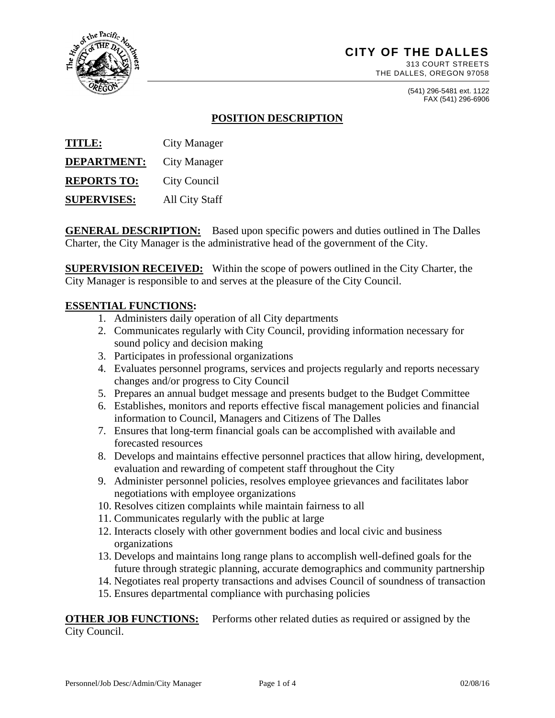

# **CITY OF THE DALLES**

313 COURT STREETS THE DALLES, OREGON 97058

> (541) 296-5481 ext. 1122 FAX (541) 296-6906

## **POSITION DESCRIPTION**

**TITLE:** City Manager **DEPARTMENT:** City Manager **REPORTS TO:** City Council **SUPERVISES:** All City Staff

**GENERAL DESCRIPTION:** Based upon specific powers and duties outlined in The Dalles Charter, the City Manager is the administrative head of the government of the City.

**SUPERVISION RECEIVED:** Within the scope of powers outlined in the City Charter, the City Manager is responsible to and serves at the pleasure of the City Council.

#### **ESSENTIAL FUNCTIONS:**

- 1. Administers daily operation of all City departments
- 2. Communicates regularly with City Council, providing information necessary for sound policy and decision making
- 3. Participates in professional organizations
- 4. Evaluates personnel programs, services and projects regularly and reports necessary changes and/or progress to City Council
- 5. Prepares an annual budget message and presents budget to the Budget Committee
- 6. Establishes, monitors and reports effective fiscal management policies and financial information to Council, Managers and Citizens of The Dalles
- 7. Ensures that long-term financial goals can be accomplished with available and forecasted resources
- 8. Develops and maintains effective personnel practices that allow hiring, development, evaluation and rewarding of competent staff throughout the City
- 9. Administer personnel policies, resolves employee grievances and facilitates labor negotiations with employee organizations
- 10. Resolves citizen complaints while maintain fairness to all
- 11. Communicates regularly with the public at large
- 12. Interacts closely with other government bodies and local civic and business organizations
- 13. Develops and maintains long range plans to accomplish well-defined goals for the future through strategic planning, accurate demographics and community partnership
- 14. Negotiates real property transactions and advises Council of soundness of transaction
- 15. Ensures departmental compliance with purchasing policies

**OTHER JOB FUNCTIONS:** Performs other related duties as required or assigned by the City Council.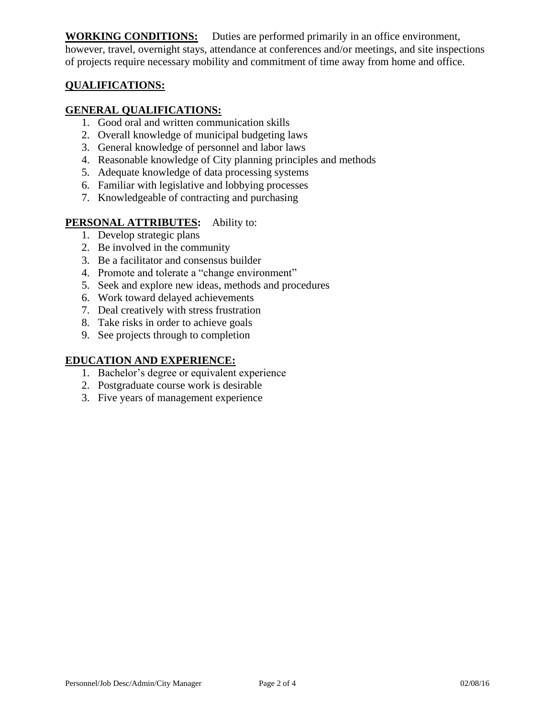**WORKING CONDITIONS:** Duties are performed primarily in an office environment, however, travel, overnight stays, attendance at conferences and/or meetings, and site inspections of projects require necessary mobility and commitment of time away from home and office.

## **QUALIFICATIONS:**

### **GENERAL QUALIFICATIONS:**

- 1. Good oral and written communication skills
- 2. Overall knowledge of municipal budgeting laws
- 3. General knowledge of personnel and labor laws
- 4. Reasonable knowledge of City planning principles and methods
- 5. Adequate knowledge of data processing systems
- 6. Familiar with legislative and lobbying processes
- 7. Knowledgeable of contracting and purchasing

#### **PERSONAL ATTRIBUTES:** Ability to:

- 1. Develop strategic plans
- 2. Be involved in the community
- 3. Be a facilitator and consensus builder
- 4. Promote and tolerate a "change environment"
- 5. Seek and explore new ideas, methods and procedures
- 6. Work toward delayed achievements
- 7. Deal creatively with stress frustration
- 8. Take risks in order to achieve goals
- 9. See projects through to completion

### **EDUCATION AND EXPERIENCE:**

- 1. Bachelor's degree or equivalent experience
- 2. Postgraduate course work is desirable
- 3. Five years of management experience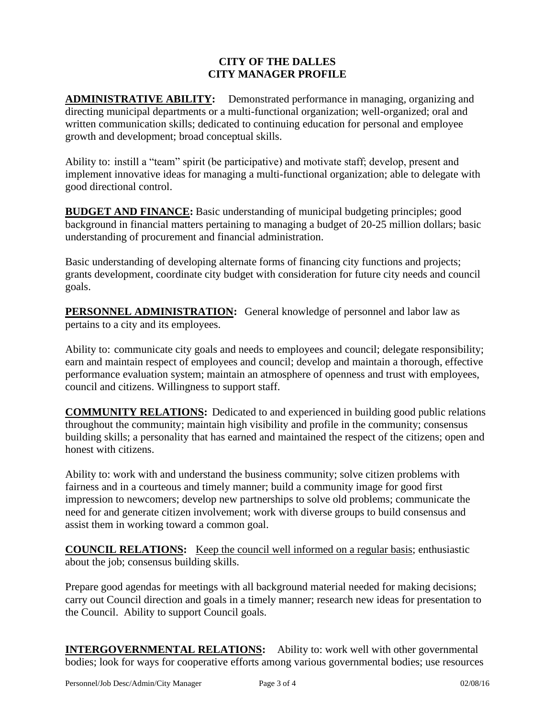#### **CITY OF THE DALLES CITY MANAGER PROFILE**

**ADMINISTRATIVE ABILITY:** Demonstrated performance in managing, organizing and directing municipal departments or a multi-functional organization; well-organized; oral and written communication skills; dedicated to continuing education for personal and employee growth and development; broad conceptual skills.

Ability to: instill a "team" spirit (be participative) and motivate staff; develop, present and implement innovative ideas for managing a multi-functional organization; able to delegate with good directional control.

**BUDGET AND FINANCE:** Basic understanding of municipal budgeting principles; good background in financial matters pertaining to managing a budget of 20-25 million dollars; basic understanding of procurement and financial administration.

Basic understanding of developing alternate forms of financing city functions and projects; grants development, coordinate city budget with consideration for future city needs and council goals.

**PERSONNEL ADMINISTRATION:** General knowledge of personnel and labor law as pertains to a city and its employees.

Ability to: communicate city goals and needs to employees and council; delegate responsibility; earn and maintain respect of employees and council; develop and maintain a thorough, effective performance evaluation system; maintain an atmosphere of openness and trust with employees, council and citizens. Willingness to support staff.

**COMMUNITY RELATIONS:** Dedicated to and experienced in building good public relations throughout the community; maintain high visibility and profile in the community; consensus building skills; a personality that has earned and maintained the respect of the citizens; open and honest with citizens.

Ability to: work with and understand the business community; solve citizen problems with fairness and in a courteous and timely manner; build a community image for good first impression to newcomers; develop new partnerships to solve old problems; communicate the need for and generate citizen involvement; work with diverse groups to build consensus and assist them in working toward a common goal.

**COUNCIL RELATIONS:** Keep the council well informed on a regular basis; enthusiastic about the job; consensus building skills.

Prepare good agendas for meetings with all background material needed for making decisions; carry out Council direction and goals in a timely manner; research new ideas for presentation to the Council. Ability to support Council goals.

**INTERGOVERNMENTAL RELATIONS:** Ability to: work well with other governmental bodies; look for ways for cooperative efforts among various governmental bodies; use resources